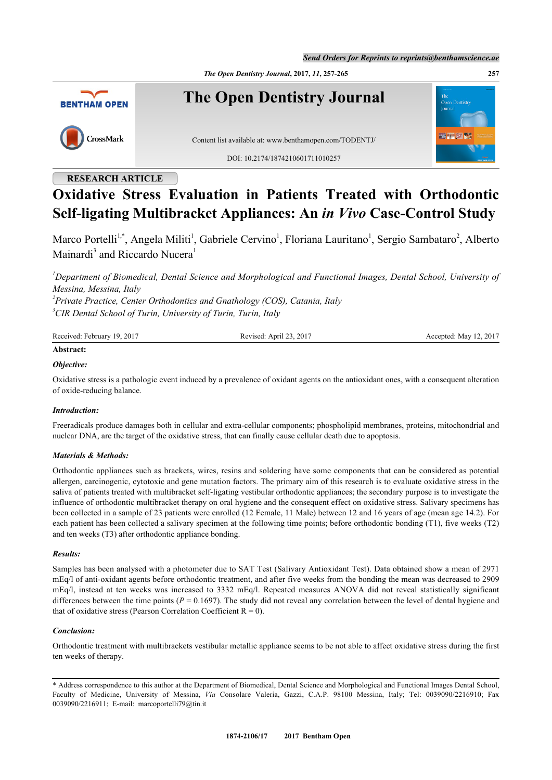*The Open Dentistry Journal***, 2017,** *11***, 257-265 257**



# **RESEARCH ARTICLE**

# **Oxidative Stress Evaluation in Patients Treated with Orthodontic Self-ligating Multibracket Appliances: An** *in Vivo* **Case-Control Study**

Marco Portelli<sup>[1,](#page-0-0)\*</sup>, Angela Militi<sup>[1](#page-0-0)</sup>, Gabriele Cervino<sup>1</sup>, Floriana Lauritano<sup>1</sup>, Sergio Sambataro<sup>[2](#page-0-1)</sup>, Alberto Mainardi<sup>[3](#page-0-2)</sup> and Riccardo Nucera<sup>[1](#page-0-0)</sup>

<span id="page-0-0"></span>*<sup>1</sup>Department of Biomedical, Dental Science and Morphological and Functional Images, Dental School, University of Messina, Messina, Italy*

<span id="page-0-2"></span><span id="page-0-1"></span>*2 Private Practice, Center Orthodontics and Gnathology (COS), Catania, Italy 3 CIR Dental School of Turin, University of Turin, Turin, Italy*

| Received: February 19, 2017 | Revised: April 23, 2017 | Accepted: May 12, 2017 |
|-----------------------------|-------------------------|------------------------|
| .                           |                         |                        |

# **Abstract:**

#### *Objective:*

Oxidative stress is a pathologic event induced by a prevalence of oxidant agents on the antioxidant ones, with a consequent alteration of oxide-reducing balance.

#### *Introduction:*

Freeradicals produce damages both in cellular and extra-cellular components; phospholipid membranes, proteins, mitochondrial and nuclear DNA, are the target of the oxidative stress, that can finally cause cellular death due to apoptosis.

#### *Materials & Methods:*

Orthodontic appliances such as brackets, wires, resins and soldering have some components that can be considered as potential allergen, carcinogenic, cytotoxic and gene mutation factors. The primary aim of this research is to evaluate oxidative stress in the saliva of patients treated with multibracket self-ligating vestibular orthodontic appliances; the secondary purpose is to investigate the influence of orthodontic multibracket therapy on oral hygiene and the consequent effect on oxidative stress. Salivary specimens has been collected in a sample of 23 patients were enrolled (12 Female, 11 Male) between 12 and 16 years of age (mean age 14.2). For each patient has been collected a salivary specimen at the following time points; before orthodontic bonding (T1), five weeks (T2) and ten weeks (T3) after orthodontic appliance bonding.

#### *Results:*

Samples has been analysed with a photometer due to SAT Test (Salivary Antioxidant Test). Data obtained show a mean of 2971 mEq/l of anti-oxidant agents before orthodontic treatment, and after five weeks from the bonding the mean was decreased to 2909 mEq/l, instead at ten weeks was increased to 3332 mEq/l. Repeated measures ANOVA did not reveal statistically significant differences between the time points  $(P = 0.1697)$ . The study did not reveal any correlation between the level of dental hygiene and that of oxidative stress (Pearson Correlation Coefficient  $R = 0$ ).

#### *Conclusion:*

Orthodontic treatment with multibrackets vestibular metallic appliance seems to be not able to affect oxidative stress during the first ten weeks of therapy.

<sup>\*</sup> Address correspondence to this author at the Department of Biomedical, Dental Science and Morphological and Functional Images Dental School, Faculty of Medicine, University of Messina, *Via* Consolare Valeria, Gazzi, C.A.P. 98100 Messina, Italy; Tel: 0039090/2216910; Fax 0039090/2216911; E-mail: [marcoportelli79@tin.it](mailto:marcoportelli79@tin.it)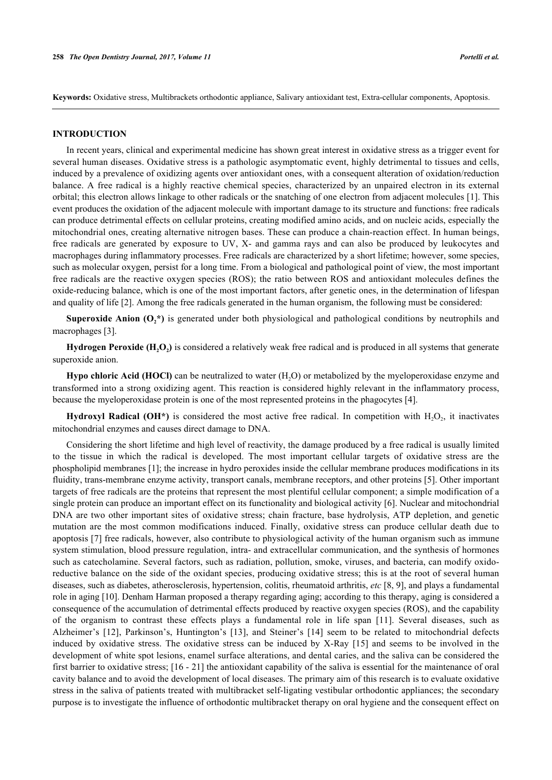**Keywords:** Oxidative stress, Multibrackets orthodontic appliance, Salivary antioxidant test, Extra-cellular components, Apoptosis.

#### **INTRODUCTION**

In recent years, clinical and experimental medicine has shown great interest in oxidative stress as a trigger event for several human diseases. Oxidative stress is a pathologic asymptomatic event, highly detrimental to tissues and cells, induced by a prevalence of oxidizing agents over antioxidant ones, with a consequent alteration of oxidation/reduction balance. A free radical is a highly reactive chemical species, characterized by an unpaired electron in its external orbital; this electron allows linkage to other radicals or the snatching of one electron from adjacent molecules [[1](#page-6-0)]. This event produces the oxidation of the adjacent molecule with important damage to its structure and functions: free radicals can produce detrimental effects on cellular proteins, creating modified amino acids, and on nucleic acids, especially the mitochondrial ones, creating alternative nitrogen bases. These can produce a chain-reaction effect. In human beings, free radicals are generated by exposure to UV, X- and gamma rays and can also be produced by leukocytes and macrophages during inflammatory processes. Free radicals are characterized by a short lifetime; however, some species, such as molecular oxygen, persist for a long time. From a biological and pathological point of view, the most important free radicals are the reactive oxygen species (ROS); the ratio between ROS and antioxidant molecules defines the oxide-reducing balance, which is one of the most important factors, after genetic ones, in the determination of lifespan and quality of life [[2\]](#page-6-1). Among the free radicals generated in the human organism, the following must be considered:

**Superoxide Anion**  $(O_2^*)$  **is generated under both physiological and pathological conditions by neutrophils and** macrophages [\[3](#page-6-2)].

**Hydrogen Peroxide (H2O<sup>2</sup> )** is considered a relatively weak free radical and is produced in all systems that generate superoxide anion.

**Hypo chloric Acid (HOCl)** can be neutralized to water  $(H, O)$  or metabolized by the myeloperoxidase enzyme and transformed into a strong oxidizing agent. This reaction is considered highly relevant in the inflammatory process, because the myeloperoxidase protein is one of the most represented proteins in the phagocytes [[4\]](#page-6-3).

**Hydroxyl Radical (OH<sup>\*</sup>)** is considered the most active free radical. In competition with  $H_2O_2$ , it inactivates mitochondrial enzymes and causes direct damage to DNA.

Considering the short lifetime and high level of reactivity, the damage produced by a free radical is usually limited to the tissue in which the radical is developed. The most important cellular targets of oxidative stress are the phospholipid membranes [\[1](#page-6-0)]; the increase in hydro peroxides inside the cellular membrane produces modifications in its fluidity, trans-membrane enzyme activity, transport canals, membrane receptors, and other proteins [[5\]](#page-6-4). Other important targets of free radicals are the proteins that represent the most plentiful cellular component; a simple modification of a single protein can produce an important effect on its functionality and biological activity [[6\]](#page-6-5). Nuclear and mitochondrial DNA are two other important sites of oxidative stress; chain fracture, base hydrolysis, ATP depletion, and genetic mutation are the most common modifications induced. Finally, oxidative stress can produce cellular death due to apoptosis [\[7\]](#page-6-6) free radicals, however, also contribute to physiological activity of the human organism such as immune system stimulation, blood pressure regulation, intra- and extracellular communication, and the synthesis of hormones such as catecholamine. Several factors, such as radiation, pollution, smoke, viruses, and bacteria, can modify oxidoreductive balance on the side of the oxidant species, producing oxidative stress; this is at the root of several human diseases, such as diabetes, atherosclerosis, hypertension, colitis, rheumatoid arthritis, *etc* [\[8](#page-6-7), [9](#page-6-8)], and plays a fundamental role in aging [\[10](#page-6-9)]. Denham Harman proposed a therapy regarding aging; according to this therapy, aging is considered a consequence of the accumulation of detrimental effects produced by reactive oxygen species (ROS), and the capability of the organism to contrast these effects plays a fundamental role in life span[[11](#page-6-10)]. Several diseases, such as Alzheimer's[[12](#page-6-11)], Parkinson's, Huntington's[[13](#page-6-12)], and Steiner's [\[14](#page-6-13)] seem to be related to mitochondrial defects induced by oxidative stress. The oxidative stress can be induced by X-Ray[[15](#page-6-14)] and seems to be involved in the development of white spot lesions, enamel surface alterations, and dental caries, and the saliva can be considered the first barrier to oxidative stress; [[16](#page-6-15) - [21\]](#page-7-0) the antioxidant capability of the saliva is essential for the maintenance of oral cavity balance and to avoid the development of local diseases. The primary aim of this research is to evaluate oxidative stress in the saliva of patients treated with multibracket self-ligating vestibular orthodontic appliances; the secondary purpose is to investigate the influence of orthodontic multibracket therapy on oral hygiene and the consequent effect on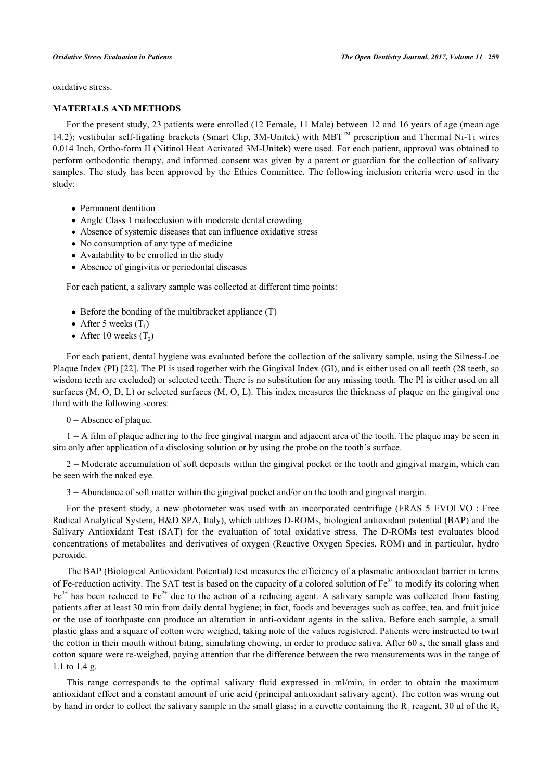oxidative stress.

#### **MATERIALS AND METHODS**

For the present study, 23 patients were enrolled (12 Female, 11 Male) between 12 and 16 years of age (mean age 14.2); vestibular self-ligating brackets (Smart Clip, 3M-Unitek) with MBT<sup>TM</sup> prescription and Thermal Ni-Ti wires 0.014 Inch, Ortho-form II (Nitinol Heat Activated 3M-Unitek) were used. For each patient, approval was obtained to perform orthodontic therapy, and informed consent was given by a parent or guardian for the collection of salivary samples. The study has been approved by the Ethics Committee. The following inclusion criteria were used in the study:

- Permanent dentition
- Angle Class 1 malocclusion with moderate dental crowding
- Absence of systemic diseases that can influence oxidative stress
- No consumption of any type of medicine
- Availability to be enrolled in the study
- Absence of gingivitis or periodontal diseases

For each patient, a salivary sample was collected at different time points:

- $\bullet$  Before the bonding of the multibracket appliance (T)
- After 5 weeks  $(T_1)$
- After 10 weeks  $(T_2)$

For each patient, dental hygiene was evaluated before the collection of the salivary sample, using the Silness-Loe Plaque Index (PI) [[22\]](#page-7-1). The PI is used together with the Gingival Index (GI), and is either used on all teeth (28 teeth, so wisdom teeth are excluded) or selected teeth. There is no substitution for any missing tooth. The PI is either used on all surfaces (M, O, D, L) or selected surfaces (M, O, L). This index measures the thickness of plaque on the gingival one third with the following scores:

 $0 =$  Absence of plaque.

 $1 = A$  film of plaque adhering to the free gingival margin and adjacent area of the tooth. The plaque may be seen in situ only after application of a disclosing solution or by using the probe on the tooth's surface.

2 = Moderate accumulation of soft deposits within the gingival pocket or the tooth and gingival margin, which can be seen with the naked eye.

3 = Abundance of soft matter within the gingival pocket and/or on the tooth and gingival margin.

For the present study, a new photometer was used with an incorporated centrifuge (FRAS 5 EVOLVO : Free Radical Analytical System, H&D SPA, Italy), which utilizes D-ROMs, biological antioxidant potential (BAP) and the Salivary Antioxidant Test (SAT) for the evaluation of total oxidative stress. The D-ROMs test evaluates blood concentrations of metabolites and derivatives of oxygen (Reactive Oxygen Species, ROM) and in particular, hydro peroxide.

The BAP (Biological Antioxidant Potential) test measures the efficiency of a plasmatic antioxidant barrier in terms of Fe-reduction activity. The SAT test is based on the capacity of a colored solution of  $Fe<sup>3+</sup>$  to modify its coloring when  $Fe<sup>3+</sup>$  has been reduced to Fe<sup>2+</sup> due to the action of a reducing agent. A salivary sample was collected from fasting patients after at least 30 min from daily dental hygiene; in fact, foods and beverages such as coffee, tea, and fruit juice or the use of toothpaste can produce an alteration in anti-oxidant agents in the saliva. Before each sample, a small plastic glass and a square of cotton were weighed, taking note of the values registered. Patients were instructed to twirl the cotton in their mouth without biting, simulating chewing, in order to produce saliva. After 60 s, the small glass and cotton square were re-weighed, paying attention that the difference between the two measurements was in the range of 1.1 to 1.4 g.

This range corresponds to the optimal salivary fluid expressed in ml/min, in order to obtain the maximum antioxidant effect and a constant amount of uric acid (principal antioxidant salivary agent). The cotton was wrung out by hand in order to collect the salivary sample in the small glass; in a cuvette containing the  $R_1$  reagent, 30 µl of the  $R_2$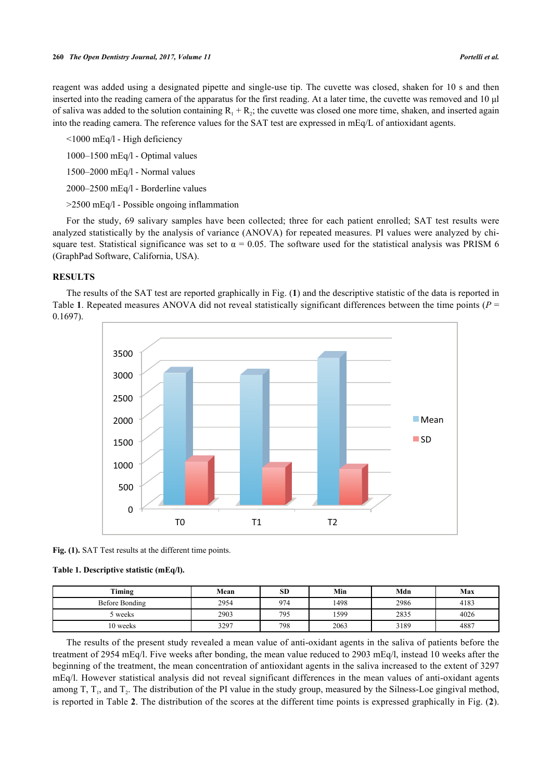reagent was added using a designated pipette and single-use tip. The cuvette was closed, shaken for 10 s and then inserted into the reading camera of the apparatus for the first reading. At a later time, the cuvette was removed and 10 μl of saliva was added to the solution containing  $R_1 + R_2$ ; the cuvette was closed one more time, shaken, and inserted again into the reading camera. The reference values for the SAT test are expressed in mEq/L of antioxidant agents.

 $\leq 1000$  mEq/l - High deficiency

1000–1500 mEq/l - Optimal values

1500–2000 mEq/l - Normal values

2000–2500 mEq/l - Borderline values

>2500 mEq/l - Possible ongoing inflammation

For the study, 69 salivary samples have been collected; three for each patient enrolled; SAT test results were analyzed statistically by the analysis of variance (ANOVA) for repeated measures. PI values were analyzed by chisquare test. Statistical significance was set to  $\alpha = 0.05$ . The software used for the statistical analysis was PRISM 6 (GraphPad Software, California, USA).

#### **RESULTS**

<span id="page-3-0"></span>The results of the SAT test are reported graphically in Fig. (**[1](#page-3-0)**) and the descriptive statistic of the data is reported in Table **[1](#page-3-1)**. Repeated measures ANOVA did not reveal statistically significant differences between the time points (*P* = 0.1697).



Fig. (1). SAT Test results at the different time points.

#### <span id="page-3-1"></span>**Table 1. Descriptive statistic (mEq/l).**

| Timing         | Mean | <b>SD</b> | Min  | Mdn  | Max  |
|----------------|------|-----------|------|------|------|
| Before Bonding | 2954 | 974       | 1498 | 2986 | 4183 |
| 5 weeks        | 2903 | 795       | 1599 | 2835 | 4026 |
| 10 weeks       | 3297 | 798       | 2063 | 3189 | 4887 |

The results of the present study revealed a mean value of anti-oxidant agents in the saliva of patients before the treatment of 2954 mEq/l. Five weeks after bonding, the mean value reduced to 2903 mEq/l, instead 10 weeks after the beginning of the treatment, the mean concentration of antioxidant agents in the saliva increased to the extent of 3297 mEq/l. However statistical analysis did not reveal significant differences in the mean values of anti-oxidant agents among T,  $T_1$ , and  $T_2$ . The distribution of the PI value in the study group, measured by the Silness-Loe gingival method, is reported in Table **[2](#page-4-0)**. The distribution of the scores at the different time points is expressed graphically in Fig. (**[2](#page-4-1)**).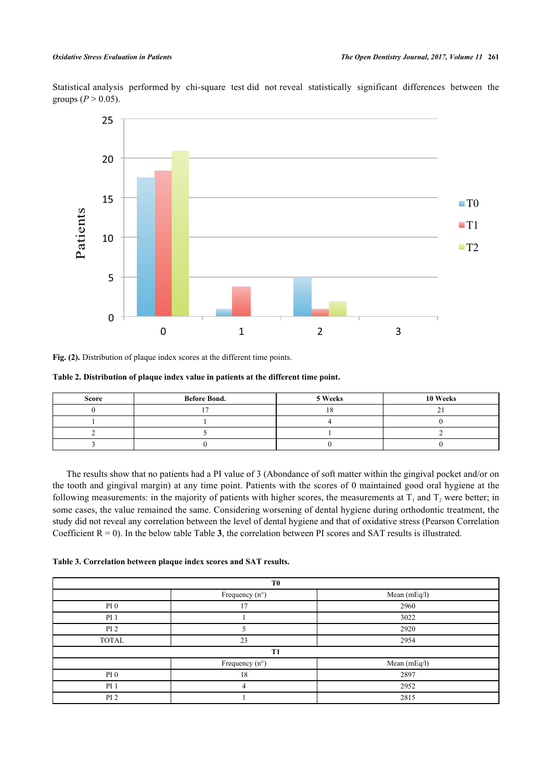Statistical analysis performed by chi-square test did not reveal statistically significant differences between the groups  $(P > 0.05)$ .

<span id="page-4-1"></span>

**Fig. (2).** Distribution of plaque index scores at the different time points.

#### <span id="page-4-0"></span>**Table 2. Distribution of plaque index value in patients at the different time point.**

| Score | <b>Before Bond.</b> | 5 Weeks | 10 Weeks |
|-------|---------------------|---------|----------|
|       |                     |         |          |
|       |                     |         |          |
|       |                     |         |          |
|       |                     |         |          |

The results show that no patients had a PI value of 3 (Abondance of soft matter within the gingival pocket and/or on the tooth and gingival margin) at any time point. Patients with the scores of 0 maintained good oral hygiene at the following measurements: in the majority of patients with higher scores, the measurements at  $T_1$  and  $T_2$  were better; in some cases, the value remained the same. Considering worsening of dental hygiene during orthodontic treatment, the study did not reveal any correlation between the level of dental hygiene and that of oxidative stress (Pearson Correlation Coefficient  $R = 0$ ). In the below table Table [3](#page-4-2), the correlation between PI scores and SAT results is illustrated.

<span id="page-4-2"></span>

| Table 3. Correlation between plaque index scores and SAT results. |  |  |  |  |  |  |  |  |
|-------------------------------------------------------------------|--|--|--|--|--|--|--|--|
|-------------------------------------------------------------------|--|--|--|--|--|--|--|--|

| T <sub>0</sub>  |                         |              |  |  |
|-----------------|-------------------------|--------------|--|--|
|                 | Frequency $(n^{\circ})$ | Mean (mEq/l) |  |  |
| PI <sub>0</sub> | 17                      | 2960         |  |  |
| PI <sub>1</sub> |                         | 3022         |  |  |
| PI <sub>2</sub> |                         | 2920         |  |  |
| <b>TOTAL</b>    | 23                      | 2954         |  |  |
| T1              |                         |              |  |  |
|                 | Frequency (n°)          | Mean (mEq/l) |  |  |
| PI <sub>0</sub> | 18                      | 2897         |  |  |
| PI <sub>1</sub> | 4                       | 2952         |  |  |
| PI <sub>2</sub> |                         | 2815         |  |  |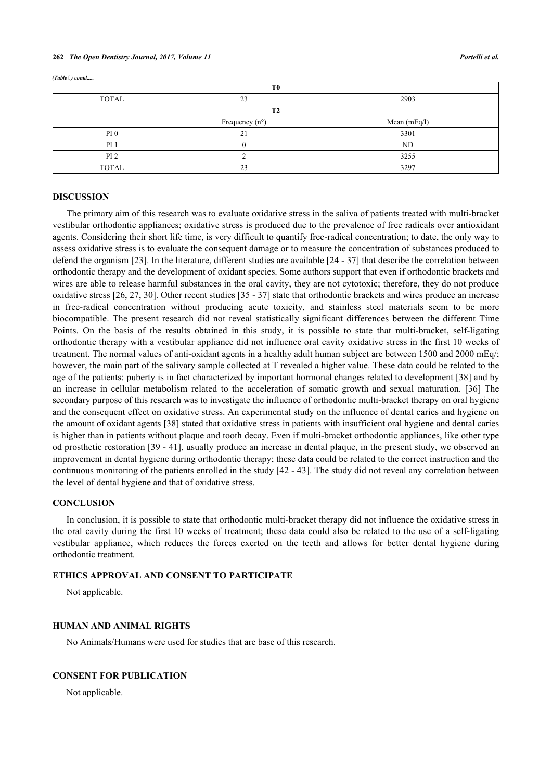| T <sub>0</sub>  |                         |                |  |  |
|-----------------|-------------------------|----------------|--|--|
| <b>TOTAL</b>    | 23                      | 2903           |  |  |
| <b>T2</b>       |                         |                |  |  |
|                 | Frequency $(n^{\circ})$ | Mean $(mEq/l)$ |  |  |
| PI <sub>0</sub> | ን 1                     | 3301           |  |  |
| PI <sub>1</sub> |                         | ND             |  |  |
| PI <sub>2</sub> |                         | 3255           |  |  |
| <b>TOTAL</b>    | 23                      | 3297           |  |  |

#### **DISCUSSION**

*(Table ) contd.....*

The primary aim of this research was to evaluate oxidative stress in the saliva of patients treated with multi-bracket vestibular orthodontic appliances; oxidative stress is produced due to the prevalence of free radicals over antioxidant agents. Considering their short life time, is very difficult to quantify free-radical concentration; to date, the only way to assess oxidative stress is to evaluate the consequent damage or to measure the concentration of substances produced to defend the organism [[23\]](#page-7-2). In the literature, different studies are available [[24](#page-7-3) - [37](#page-7-4)] that describe the correlation between orthodontic therapy and the development of oxidant species. Some authors support that even if orthodontic brackets and wires are able to release harmful substances in the oral cavity, they are not cytotoxic; therefore, they do not produce oxidative stress [[26,](#page-7-5) [27,](#page-7-6) [30](#page-7-7)]. Other recent studies [[35](#page-7-8) - [37](#page-7-4)] state that orthodontic brackets and wires produce an increase in free-radical concentration without producing acute toxicity, and stainless steel materials seem to be more biocompatible. The present research did not reveal statistically significant differences between the different Time Points. On the basis of the results obtained in this study, it is possible to state that multi-bracket, self-ligating orthodontic therapy with a vestibular appliance did not influence oral cavity oxidative stress in the first 10 weeks of treatment. The normal values of anti-oxidant agents in a healthy adult human subject are between 1500 and 2000 mEq/; however, the main part of the salivary sample collected at T revealed a higher value. These data could be related to the age of the patients: puberty is in fact characterized by important hormonal changes related to development [\[38](#page-7-9)] and by an increase in cellular metabolism related to the acceleration of somatic growth and sexual maturation.[[36](#page-7-10)] The secondary purpose of this research was to investigate the influence of orthodontic multi-bracket therapy on oral hygiene and the consequent effect on oxidative stress. An experimental study on the influence of dental caries and hygiene on the amount of oxidant agents [[38\]](#page-7-9) stated that oxidative stress in patients with insufficient oral hygiene and dental caries is higher than in patients without plaque and tooth decay. Even if multi-bracket orthodontic appliances, like other type od prosthetic restoration [[39](#page-7-11) - [41](#page-8-0)], usually produce an increase in dental plaque, in the present study, we observed an improvement in dental hygiene during orthodontic therapy; these data could be related to the correct instruction and the continuous monitoring of the patients enrolled in the study [[42](#page-8-1) - [43\]](#page-8-2). The study did not reveal any correlation between the level of dental hygiene and that of oxidative stress.

#### **CONCLUSION**

In conclusion, it is possible to state that orthodontic multi-bracket therapy did not influence the oxidative stress in the oral cavity during the first 10 weeks of treatment; these data could also be related to the use of a self-ligating vestibular appliance, which reduces the forces exerted on the teeth and allows for better dental hygiene during orthodontic treatment.

### **ETHICS APPROVAL AND CONSENT TO PARTICIPATE**

Not applicable.

#### **HUMAN AND ANIMAL RIGHTS**

No Animals/Humans were used for studies that are base of this research.

#### **CONSENT FOR PUBLICATION**

Not applicable.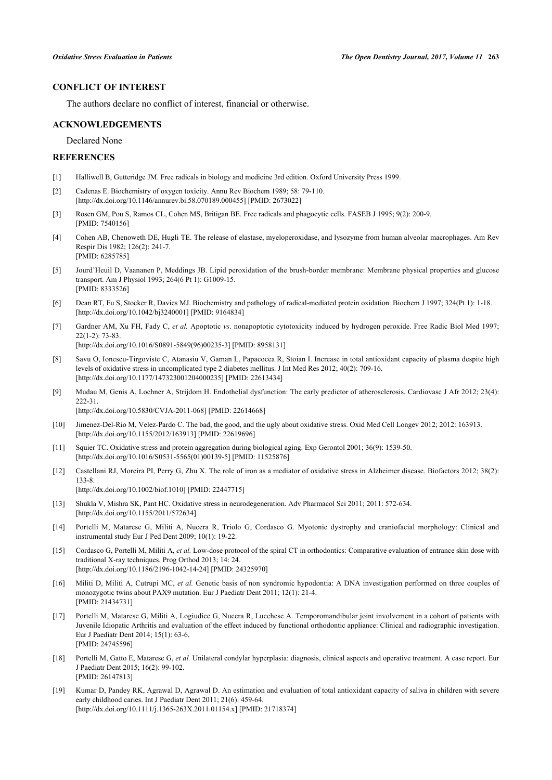## **CONFLICT OF INTEREST**

The authors declare no conflict of interest, financial or otherwise.

#### **ACKNOWLEDGEMENTS**

Declared None

### **REFERENCES**

- <span id="page-6-0"></span>[1] Halliwell B, Gutteridge JM. Free radicals in biology and medicine 3rd edition. Oxford University Press 1999.
- <span id="page-6-1"></span>[2] Cadenas E. Biochemistry of oxygen toxicity. Annu Rev Biochem 1989; 58: 79-110. [\[http://dx.doi.org/10.1146/annurev.bi.58.070189.000455\]](http://dx.doi.org/10.1146/annurev.bi.58.070189.000455) [PMID: [2673022](http://www.ncbi.nlm.nih.gov/pubmed/2673022)]
- <span id="page-6-2"></span>[3] Rosen GM, Pou S, Ramos CL, Cohen MS, Britigan BE. Free radicals and phagocytic cells. FASEB J 1995; 9(2): 200-9. [PMID: [7540156\]](http://www.ncbi.nlm.nih.gov/pubmed/7540156)
- <span id="page-6-3"></span>[4] Cohen AB, Chenoweth DE, Hugli TE. The release of elastase, myeloperoxidase, and lysozyme from human alveolar macrophages. Am Rev Respir Dis 1982; 126(2): 241-7. [PMID: [6285785\]](http://www.ncbi.nlm.nih.gov/pubmed/6285785)
- <span id="page-6-4"></span>[5] Jourd'Heuil D, Vaananen P, Meddings JB. Lipid peroxidation of the brush-border membrane: Membrane physical properties and glucose transport. Am J Physiol 1993; 264(6 Pt 1): G1009-15. [PMID: [8333526\]](http://www.ncbi.nlm.nih.gov/pubmed/8333526)
- <span id="page-6-5"></span>[6] Dean RT, Fu S, Stocker R, Davies MJ. Biochemistry and pathology of radical-mediated protein oxidation. Biochem J 1997; 324(Pt 1): 1-18. [\[http://dx.doi.org/10.1042/bj3240001](http://dx.doi.org/10.1042/bj3240001)] [PMID: [9164834\]](http://www.ncbi.nlm.nih.gov/pubmed/9164834)
- <span id="page-6-6"></span>[7] Gardner AM, Xu FH, Fady C, *et al.* Apoptotic *vs*. nonapoptotic cytotoxicity induced by hydrogen peroxide. Free Radic Biol Med 1997; 22(1-2): 73-83. [\[http://dx.doi.org/10.1016/S0891-5849\(96\)00235-3\]](http://dx.doi.org/10.1016/S0891-5849(96)00235-3) [PMID: [8958131](http://www.ncbi.nlm.nih.gov/pubmed/8958131)]
- <span id="page-6-7"></span>[8] Savu O, Ionescu-Tirgoviste C, Atanasiu V, Gaman L, Papacocea R, Stoian I. Increase in total antioxidant capacity of plasma despite high levels of oxidative stress in uncomplicated type 2 diabetes mellitus. J Int Med Res 2012; 40(2): 709-16. [\[http://dx.doi.org/10.1177/147323001204000235\]](http://dx.doi.org/10.1177/147323001204000235) [PMID: [22613434](http://www.ncbi.nlm.nih.gov/pubmed/22613434)]
- <span id="page-6-8"></span>[9] Mudau M, Genis A, Lochner A, Strijdom H. Endothelial dysfunction: The early predictor of atherosclerosis. Cardiovasc J Afr 2012; 23(4): 222-31.

[\[http://dx.doi.org/10.5830/CVJA-2011-068](http://dx.doi.org/10.5830/CVJA-2011-068)] [PMID: [22614668\]](http://www.ncbi.nlm.nih.gov/pubmed/22614668)

- <span id="page-6-9"></span>[10] Jimenez-Del-Rio M, Velez-Pardo C. The bad, the good, and the ugly about oxidative stress. Oxid Med Cell Longev 2012; 2012: 163913. [\[http://dx.doi.org/10.1155/2012/163913](http://dx.doi.org/10.1155/2012/163913)] [PMID: [22619696\]](http://www.ncbi.nlm.nih.gov/pubmed/22619696)
- <span id="page-6-10"></span>[11] Squier TC. Oxidative stress and protein aggregation during biological aging. Exp Gerontol 2001; 36(9): 1539-50. [\[http://dx.doi.org/10.1016/S0531-5565\(01\)00139-5\]](http://dx.doi.org/10.1016/S0531-5565(01)00139-5) [PMID: [11525876](http://www.ncbi.nlm.nih.gov/pubmed/11525876)]
- <span id="page-6-11"></span>[12] Castellani RJ, Moreira PI, Perry G, Zhu X. The role of iron as a mediator of oxidative stress in Alzheimer disease. Biofactors 2012; 38(2): 133-8.
	- [\[http://dx.doi.org/10.1002/biof.1010\]](http://dx.doi.org/10.1002/biof.1010) [PMID: [22447715](http://www.ncbi.nlm.nih.gov/pubmed/22447715)]
- <span id="page-6-12"></span>[13] Shukla V, Mishra SK, Pant HC. Oxidative stress in neurodegeneration. Adv Pharmacol Sci 2011; 2011: 572-634. [\[http://dx.doi.org/10.1155/2011/572634](http://dx.doi.org/10.1155/2011/572634)]
- <span id="page-6-13"></span>[14] Portelli M, Matarese G, Militi A, Nucera R, Triolo G, Cordasco G. Myotonic dystrophy and craniofacial morphology: Clinical and instrumental study Eur J Ped Dent 2009; 10(1): 19-22.
- <span id="page-6-14"></span>[15] Cordasco G, Portelli M, Militi A, et al. Low-dose protocol of the spiral CT in orthodontics: Comparative evaluation of entrance skin dose with traditional X-ray techniques. Prog Orthod 2013; 14: 24. [\[http://dx.doi.org/10.1186/2196-1042-14-24\]](http://dx.doi.org/10.1186/2196-1042-14-24) [PMID: [24325970](http://www.ncbi.nlm.nih.gov/pubmed/24325970)]
- <span id="page-6-15"></span>[16] Militi D, Militi A, Cutrupi MC, *et al.* Genetic basis of non syndromic hypodontia: A DNA investigation performed on three couples of monozygotic twins about PAX9 mutation. Eur J Paediatr Dent 2011; 12(1): 21-4. [PMID: [21434731\]](http://www.ncbi.nlm.nih.gov/pubmed/21434731)
- [17] Portelli M, Matarese G, Militi A, Logiudice G, Nucera R, Lucchese A. Temporomandibular joint involvement in a cohort of patients with Juvenile Idiopatic Arthritis and evaluation of the effect induced by functional orthodontic appliance: Clinical and radiographic investigation. Eur J Paediatr Dent 2014; 15(1): 63-6. [PMID: [24745596\]](http://www.ncbi.nlm.nih.gov/pubmed/24745596)
- [18] Portelli M, Gatto E, Matarese G, *et al.* Unilateral condylar hyperplasia: diagnosis, clinical aspects and operative treatment. A case report. Eur J Paediatr Dent 2015; 16(2): 99-102. [PMID: [26147813\]](http://www.ncbi.nlm.nih.gov/pubmed/26147813)
- [19] Kumar D, Pandey RK, Agrawal D, Agrawal D. An estimation and evaluation of total antioxidant capacity of saliva in children with severe early childhood caries. Int J Paediatr Dent 2011; 21(6): 459-64. [\[http://dx.doi.org/10.1111/j.1365-263X.2011.01154.x](http://dx.doi.org/10.1111/j.1365-263X.2011.01154.x)] [PMID: [21718374](http://www.ncbi.nlm.nih.gov/pubmed/21718374)]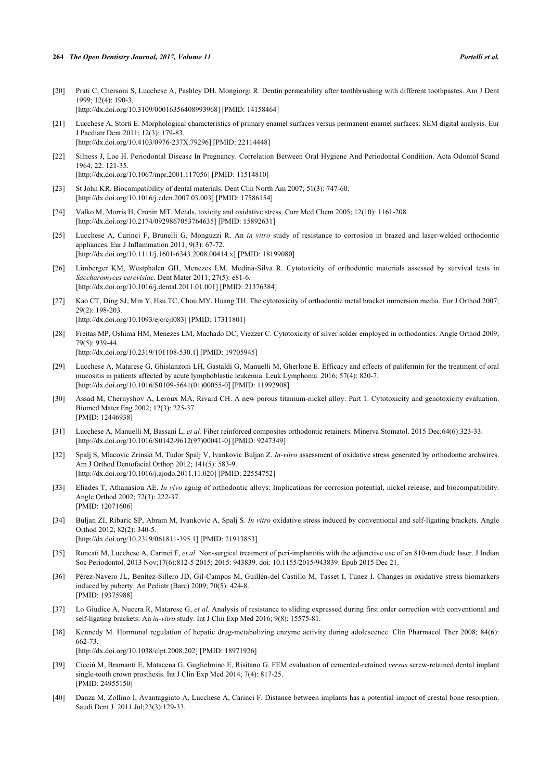- [20] Prati C, Chersoni S, Lucchese A, Pashley DH, Mongiorgi R. Dentin permeability after toothbrushing with different toothpastes. Am J Dent 1999; 12(4): 190-3. [\[http://dx.doi.org/10.3109/00016356408993968\]](http://dx.doi.org/10.3109/00016356408993968) [PMID: [14158464](http://www.ncbi.nlm.nih.gov/pubmed/14158464)]
- <span id="page-7-0"></span>[21] Lucchese A, Storti E. Morphological characteristics of primary enamel surfaces versus permanent enamel surfaces: SEM digital analysis. Eur J Paediatr Dent 2011; 12(3): 179-83. [\[http://dx.doi.org/10.4103/0976-237X.79296](http://dx.doi.org/10.4103/0976-237X.79296)] [PMID: [22114448\]](http://www.ncbi.nlm.nih.gov/pubmed/22114448)
- <span id="page-7-1"></span>[22] Silness J, Loe H. Periodontal Disease In Pregnancy. Correlation Between Oral Hygiene And Periodontal Condition. Acta Odontol Scand 1964; 22: 121-35. [\[http://dx.doi.org/10.1067/mpr.2001.117056\]](http://dx.doi.org/10.1067/mpr.2001.117056) [PMID: [11514810](http://www.ncbi.nlm.nih.gov/pubmed/11514810)]
- <span id="page-7-2"></span>[23] St John KR. Biocompatibility of dental materials. Dent Clin North Am 2007; 51(3): 747-60. [\[http://dx.doi.org/10.1016/j.cden.2007.03.003](http://dx.doi.org/10.1016/j.cden.2007.03.003)] [PMID: [17586154\]](http://www.ncbi.nlm.nih.gov/pubmed/17586154)
- <span id="page-7-3"></span>[24] Valko M, Morris H, Cronin MT. Metals, toxicity and oxidative stress. Curr Med Chem 2005; 12(10): 1161-208. [\[http://dx.doi.org/10.2174/0929867053764635\]](http://dx.doi.org/10.2174/0929867053764635) [PMID: [15892631](http://www.ncbi.nlm.nih.gov/pubmed/15892631)]
- [25] Lucchese A, Carinci F, Brunelli G, Monguzzi R. An *in vitro* study of resistance to corrosion in brazed and laser-welded orthodontic appliances. Eur J Inflammation 2011; 9(3): 67-72. [\[http://dx.doi.org/10.1111/j.1601-6343.2008.00414.x\]](http://dx.doi.org/10.1111/j.1601-6343.2008.00414.x) [PMID: [18199080](http://www.ncbi.nlm.nih.gov/pubmed/18199080)]
- <span id="page-7-5"></span>[26] Limberger KM, Westphalen GH, Menezes LM, Medina-Silva R. Cytotoxicity of orthodontic materials assessed by survival tests in *Saccharomyces cerevisiae*. Dent Mater 2011; 27(5): e81-6. [\[http://dx.doi.org/10.1016/j.dental.2011.01.001\]](http://dx.doi.org/10.1016/j.dental.2011.01.001) [PMID: [21376384](http://www.ncbi.nlm.nih.gov/pubmed/21376384)]
- <span id="page-7-6"></span>[27] Kao CT, Ding SJ, Min Y, Hsu TC, Chou MY, Huang TH. The cytotoxicity of orthodontic metal bracket immersion media. Eur J Orthod 2007; 29(2): 198-203. [\[http://dx.doi.org/10.1093/ejo/cjl083\]](http://dx.doi.org/10.1093/ejo/cjl083) [PMID: [17311801](http://www.ncbi.nlm.nih.gov/pubmed/17311801)]
- [28] Freitas MP, Oshima HM, Menezes LM, Machado DC, Viezzer C. Cytotoxicity of silver solder employed in orthodontics. Angle Orthod 2009; 79(5): 939-44. [\[http://dx.doi.org/10.2319/101108-530.1](http://dx.doi.org/10.2319/101108-530.1)] [PMID: [19705945](http://www.ncbi.nlm.nih.gov/pubmed/19705945)]
- [29] Lucchese A, Matarese G, Ghislanzoni LH, Gastaldi G, Manuelli M, Gherlone E. Efficacy and effects of palifermin for the treatment of oral mucositis in patients affected by acute lymphoblastic leukemia. Leuk Lymphoma. 2016; 57(4): 820-7. [\[http://dx.doi.org/10.1016/S0109-5641\(01\)00055-0\]](http://dx.doi.org/10.1016/S0109-5641(01)00055-0) [PMID: [11992908](http://www.ncbi.nlm.nih.gov/pubmed/11992908)]
- <span id="page-7-7"></span>[30] Assad M, Chernyshov A, Leroux MA, Rivard CH. A new porous titanium-nickel alloy: Part 1. Cytotoxicity and genotoxicity evaluation. Biomed Mater Eng 2002; 12(3): 225-37. [PMID: [12446938\]](http://www.ncbi.nlm.nih.gov/pubmed/12446938)
- [31] Lucchese A, Manuelli M, Bassani L, *et al.* Fiber reinforced composites orthodontic retainers. Minerva Stomatol. 2015 Dec;64(6):323-33. [\[http://dx.doi.org/10.1016/S0142-9612\(97\)00041-0\]](http://dx.doi.org/10.1016/S0142-9612(97)00041-0) [PMID: [9247349](http://www.ncbi.nlm.nih.gov/pubmed/9247349)]
- [32] Spalj S, Mlacovic Zrinski M, Tudor Spalj V, Ivankovic Buljan Z. *In-vitro* assessment of oxidative stress generated by orthodontic archwires. Am J Orthod Dentofacial Orthop 2012; 141(5): 583-9. [\[http://dx.doi.org/10.1016/j.ajodo.2011.11.020\]](http://dx.doi.org/10.1016/j.ajodo.2011.11.020) [PMID: [22554752](http://www.ncbi.nlm.nih.gov/pubmed/22554752)]
- [33] Eliades T, Athanasiou AE. *In vivo* aging of orthodontic alloys: Implications for corrosion potential, nickel release, and biocompatibility. Angle Orthod 2002; 72(3): 222-37. [PMID: [12071606\]](http://www.ncbi.nlm.nih.gov/pubmed/12071606)
- [34] Buljan ZI, Ribaric SP, Abram M, Ivankovic A, Spalj S. *In vitro* oxidative stress induced by conventional and self-ligating brackets. Angle Orthod 2012; 82(2): 340-5. [\[http://dx.doi.org/10.2319/061811-395.1](http://dx.doi.org/10.2319/061811-395.1)] [PMID: [21913853](http://www.ncbi.nlm.nih.gov/pubmed/21913853)]
- <span id="page-7-8"></span>[35] Roncati M, Lucchese A, Carinci F, *et al.* Non-surgical treatment of peri-implantitis with the adjunctive use of an 810-nm diode laser. J Indian Soc Periodontol. 2013 Nov;17(6):812-5 2015; 2015: 943839. doi: 10.1155/2015/943839. Epub 2015 Dec 21.
- <span id="page-7-10"></span>[36] Pérez-Navero JL, Benítez-Sillero JD, Gil-Campos M, Guillén-del Castillo M, Tasset I, Túnez I. Changes in oxidative stress biomarkers induced by puberty. An Pediatr (Barc) 2009; 70(5): 424-8. [PMID: [19375988\]](http://www.ncbi.nlm.nih.gov/pubmed/19375988)
- <span id="page-7-4"></span>[37] Lo Giudice A, Nucera R, Matarese G, *et al.* Analysis of resistance to sliding expressed during first order correction with conventional and self-ligating brackets: An *in-vitro* study. Int J Clin Exp Med 2016; 9(8): 15575-81.
- <span id="page-7-9"></span>[38] Kennedy M. Hormonal regulation of hepatic drug-metabolizing enzyme activity during adolescence. Clin Pharmacol Ther 2008; 84(6): 662-73.
	- [\[http://dx.doi.org/10.1038/clpt.2008.202\]](http://dx.doi.org/10.1038/clpt.2008.202) [PMID: [18971926](http://www.ncbi.nlm.nih.gov/pubmed/18971926)]
- <span id="page-7-11"></span>[39] Cicciù M, Bramanti E, Matacena G, Guglielmino E, Risitano G. FEM evaluation of cemented-retained *versus* screw-retained dental implant single-tooth crown prosthesis. Int J Clin Exp Med 2014; 7(4): 817-25. [PMID: [24955150\]](http://www.ncbi.nlm.nih.gov/pubmed/24955150)
- [40] Danza M, Zollino I, Avantaggiato A, Lucchese A, Carinci F. Distance between implants has a potential impact of crestal bone resorption. Saudi Dent J. 2011 Jul;23(3):129-33.